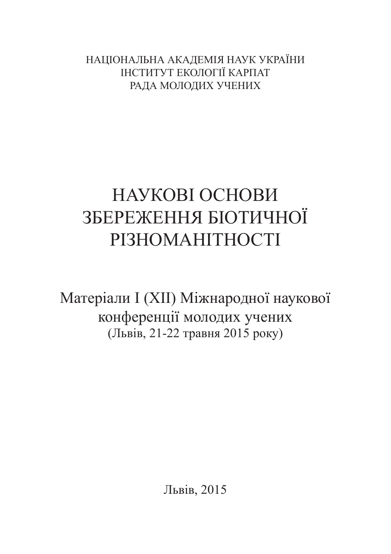НАЦІОНАЛЬНА АКАДЕМІЯ НАУК УКРАЇНИ ІНСТИТУТ ЕКОЛОГІЇ КАРПАТ РАДА МОЛОДИХ УЧЕНИХ

# НАУКОВІ ОСНОВИ ЗБЕРЕЖЕННЯ БІОТИЧНОЇ РІЗНОМАНІТНОСТІ

Матеріали I (XII) Міжнародної наукової конференції молодих учених (Львів, 21-22 травня 2015 року)

Львів, 2015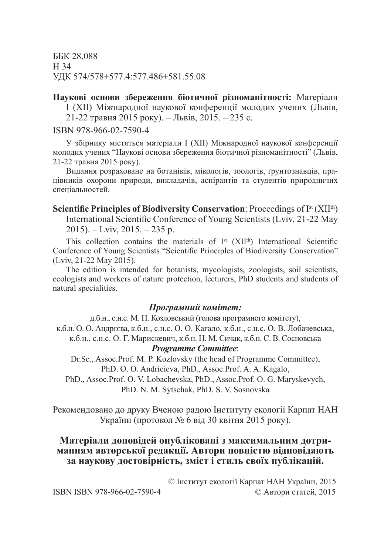ББК 28.088 Н 34 УДК 574/578+577.4:577.486+581.55.08

**Наукові основи збереження біотичної різноманітності:** Матеріали I (XII) Міжнародної наукової конференції молодих учених (Львів, 21-22 травня 2015 року). – Львів, 2015. – 235 c.

ISBN 978-966-02-7590-4

У збірнику містяться матеріали I (XII) Міжнародної наукової конференції молодих учених "Наукові основи збереження біотичної різноманітності" (Львів, 21-22 травня 2015 року).

Видання розраховане на ботаніків, мікологів, зоoлогів, ґрунтознавців, працівників охорони природи, викладачів, аспірантів та студентів природничих спеціальностей.

**Scientific Principles of Biodiversity Conservation**: Proceedings of I<sup>st</sup> (XII<sup>th</sup>) International Scientific Conference of Young Scientists (Lviv, 21-22 May  $2015$ ). – Lviv,  $2015$ . –  $235$  p.

This collection contains the materials of  $I<sup>st</sup>$  (XII<sup>th</sup>) International Scientific Conference of Young Scientists "Scientific Principles of Biodiversity Conservation" (Lviv, 21-22 May 2015).

The edition is intended for botanists, mycologists, zoologists, soil scientists, ecologists and workers of nature protection, lecturers, PhD students and students of natural specialities.

#### *Програмний комітет:*

д.б.н., с.н.с. М. П. Козловський (голова програмного комітету), к.б.н. О. О. Андрєєва, к.б.н., с.н.с. О. О. Кагало, к.б.н., с.н.с. О. В. Лобачевська, к.б.н., с.н.с. О. Г. Марискевич, к.б.н. Н. М. Сичак, к.б.н. С. В. Сосновська *Programme Committee*:

Dr.Sc., Assoc.Prof. M. P. Kozlovsky (the head of Programme Committee), PhD. O. O. Andrieieva, PhD., Assoc.Prof. A. A. Kagalo,

PhD., Assoc.Prof. O. V. Lobachevska, PhD., Assoc.Prof. O. G. Maryskevych, PhD. N. M. Sytschak, PhD. S. V. Sosnovska

Рекомендовано до друку Вченою радою Інституту екології Карпат НАН України (протокол № 6 від 30 квітня 2015 року).

## **Матеріали доповідей опубліковані з максимальним дотриманням авторської редакції. Автори повністю відповідають за наукову достовірність, зміст і стиль своїх публікацій.**

|                  | © Інститут екології Карпат НАН України, 2015 |  |
|------------------|----------------------------------------------|--|
| 78-966-02-7590-4 | © Автори статей, 2015                        |  |

**ISBN ISBN 9**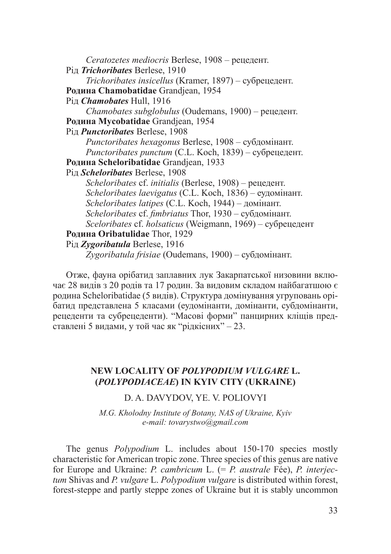*Ceratozetes mediocris* Berlese, 1908 – рецедент. Рід *Trichoribates* Berlese, 1910 *Trichoribates insicellus* (Kramer, 1897) – субрецедент. **Родина Chamobatidae** Grandjean, 1954 Рід *Chamobates* Hull, 1916 *Chamobates subglobulus* (Oudemans, 1900) – рецедент. **Родина Mycobatidae** Grandjean, 1954 Рід *Punctoribates* Berlese, 1908 *Punctoribates hexagonus* Berlese, 1908 – субдомінант. *Punctoribates punctum* (C.L. Koch, 1839) – субрецедент. **Родина Scheloribatidae** Grandjean, 1933 Рід *Scheloribates* Berlese, 1908 *Scheloribates* cf. *initialis* (Berlese, 1908) – рецедент. *Scheloribates laevigatus* (C.L. Koch, 1836) – еудомінант. *Scheloribates latipes* (C.L. Koch, 1944) – домінант. *Scheloribates* cf. *fimbriatus* Thor, 1930 – субдомінант. *Sceloribates* cf. *holsaticus* (Weigmann, 1969) – субрецедент **Родина Oribatulidae** Thor, 1929 Рід *Zygoribatula* Berlese, 1916 *Zygoribatula frisiae* (Oudemans, 1900) – субдомінант.

Отже, фауна орібатид заплавних лук Закарпатської низовини включає 28 видів з 20 родів та 17 родин. За видовим складом найбагатшою є родина Scheloribatidae (5 видів). Структура домінування угруповань орібатид представлена 5 класами (еудомінанти, домінанти, субдомінанти, рецеденти та субрецеденти). "Масові форми" панцирних кліщів представлені 5 видами, у той час як "рідкісних" – 23.

## **NEW LOCALITY OF** *POLYPODIUM VULGARE* **L. (***POLYPODIACEAE***) IN KYIV CITY (UKRAINE)**

D. A. DAVYDOV, YE. V. POLIOVYI

*M.G. Kholodny Institute of Botany, NAS of Ukraine, Kyiv e-mail: tovarystwo@gmail.com*

The genus *Polypodium* L. includes about 150-170 species mostly characteristic for American tropic zone. Three species of this genus are native for Europe and Ukraine: *P. cambricum* L. (= *P. australe* Fée), *P. interjectum* Shivas and *P. vulgare* L. *Polypodium vulgare* is distributed within forest, forest-steppe and partly steppe zones of Ukraine but it is stably uncommon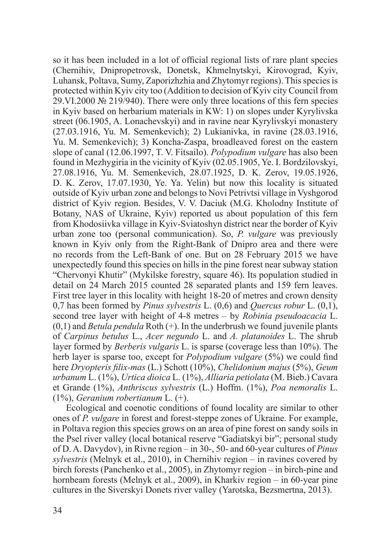so it has been included in a lot of official regional lists of rare plant species (Chernihiv, Dnipropetrovsk, Donetsk, Khmelnytskyi, Kirovograd, Kyiv, Luhansk, Poltava, Sumy, Zaporizhzhia and Zhytomyr regions). This species is protected within Kyiv city too (Addition to decision of Kyiv city Council from 29.VI.2000 № 219/940). There were only three locations of this fern species in Kyiv based on herbarium materials in KW: 1) on slopes under Kyrylivska street (06.1905, A. Lonachevskyi) and in ravine near Kyrylivskyi monastery (27.03.1916, Yu. M. Semenkevich); 2) Lukianivka, in ravine (28.03.1916, Yu. M. Semenkevich); 3) Koncha-Zaspa, broadleaved forest on the eastern slope of canal (12.06.1997, T. V. Fitsailo). *Polypodium vulgare* has also been found in Mezhygiria in the vicinity of Kyiv (02.05.1905, Ye. I. Bordzilovskyi, 27.08.1916, Yu. M. Semenkevich, 28.07.1925, D. K. Zerov, 19.05.1926, D. K. Zerov, 17.07.1930, Ye. Ya. Yelin) but now this locality is situated outside of Kyiv urban zone and belongs to Novi Petrivtsi village in Vyshgorod district of Kyiv region. Besides, V. V. Daciuk (M.G. Kholodny Institute of Botany, NAS of Ukraine, Kyiv) reported us about population of this fern from Khodosiivka village in Kyiv-Sviatoshyn district near the border of Kyiv urban zone too (personal communication). So, *P. vulgare* was previously known in Kyiv only from the Right-Bank of Dnipro area and there were no records from the Left-Bank of one. But on 28 February 2015 we have unexpectedly found this species on hills in the pine forest near subway station "Chervonyi Khutir" (Mykilske forestry, square 46). Its population studied in detail on 24 March 2015 counted 28 separated plants and 159 fern leaves. First tree layer in this locality with height 18-20 of metres and crown density 0,7 has been formed by *Pinus sylvestris* L. (0,6) and *Quercus robur* L. (0,1), second tree layer with height of 4-8 metres – by *Robinia pseudoacacia* L.  $(0,1)$  and *Betula pendula* Roth  $(+)$ . In the underbrush we found juvenile plants of *Carpinus betulus* L., *Acer negundo* L. and *A. platanoides* L. The shrub layer formed by *Berberis vulgaris* L. is sparse (coverage less than 10%). The herb layer is sparse too, except for *Polypodium vulgare* (5%) we could find here *Dryopteris filix-mas* (L.) Schott (10%), *Chelidonium majus* (5%), *Geum urbanum* L. (1%), *Urtica dioica* L. (1%), *Alliaria petiolata* (M. Bieb.) Cavara et Grande (1%), *Anthriscus sylvestris* (L.) Hoffm. (1%), *Poa nemoralis* L. (1%), *Geranium robertianum* L. (+).

Ecological and coenotic conditions of found locality are similar to other ones of *P. vulgare* in forest and forest-steppe zones of Ukraine. For example, in Poltava region this species grows on an area of pine forest on sandy soils in the Psel river valley (local botanical reserve "Gadiatskyi bir"; personal study of D.A. Davydov), in Rivne region – in 30-, 50- and 60-year cultures of *Pinus sylvestris* (Melnyk et al., 2010), in Chernihiv region – in ravines covered by birch forests (Panchenko et al., 2005), in Zhytomyr region – in birch-pine and hornbeam forests (Melnyk et al., 2009), in Kharkiv region – in 60-year pine cultures in the Siverskyi Donets river valley (Yarotska, Bezsmertna, 2013).